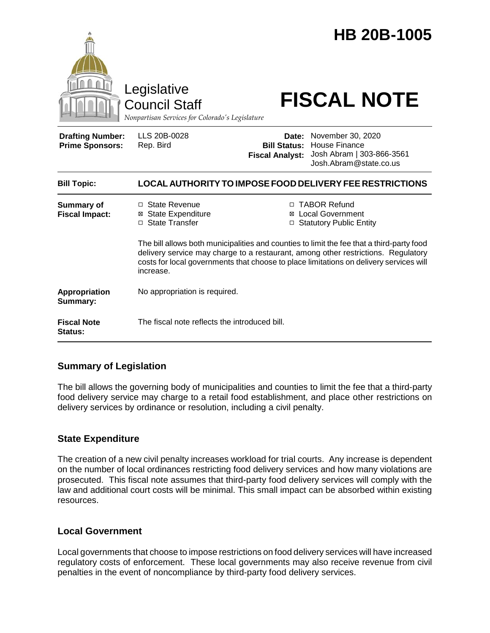|                                                   | Legislative<br><b>Council Staff</b><br>Nonpartisan Services for Colorado's Legislature                                                                                                                                                                                                |                                                        | <b>HB 20B-1005</b><br><b>FISCAL NOTE</b>                                                  |  |
|---------------------------------------------------|---------------------------------------------------------------------------------------------------------------------------------------------------------------------------------------------------------------------------------------------------------------------------------------|--------------------------------------------------------|-------------------------------------------------------------------------------------------|--|
| <b>Drafting Number:</b><br><b>Prime Sponsors:</b> | LLS 20B-0028<br>Rep. Bird                                                                                                                                                                                                                                                             | Date:<br><b>Bill Status:</b><br><b>Fiscal Analyst:</b> | November 30, 2020<br>House Finance<br>Josh Abram   303-866-3561<br>Josh.Abram@state.co.us |  |
| <b>Bill Topic:</b>                                | LOCAL AUTHORITY TO IMPOSE FOOD DELIVERY FEE RESTRICTIONS                                                                                                                                                                                                                              |                                                        |                                                                                           |  |
| <b>Summary of</b><br><b>Fiscal Impact:</b>        | □ State Revenue<br><b>State Expenditure</b><br>⊠<br>□ State Transfer                                                                                                                                                                                                                  |                                                        | □ TABOR Refund<br>⊠ Local Government<br>□ Statutory Public Entity                         |  |
|                                                   | The bill allows both municipalities and counties to limit the fee that a third-party food<br>delivery service may charge to a restaurant, among other restrictions. Regulatory<br>costs for local governments that choose to place limitations on delivery services will<br>increase. |                                                        |                                                                                           |  |
| <b>Appropriation</b><br>Summary:                  | No appropriation is required.                                                                                                                                                                                                                                                         |                                                        |                                                                                           |  |
| <b>Fiscal Note</b><br>Status:                     | The fiscal note reflects the introduced bill.                                                                                                                                                                                                                                         |                                                        |                                                                                           |  |

## **Summary of Legislation**

The bill allows the governing body of municipalities and counties to limit the fee that a third-party food delivery service may charge to a retail food establishment, and place other restrictions on delivery services by ordinance or resolution, including a civil penalty.

## **State Expenditure**

The creation of a new civil penalty increases workload for trial courts. Any increase is dependent on the number of local ordinances restricting food delivery services and how many violations are prosecuted. This fiscal note assumes that third-party food delivery services will comply with the law and additional court costs will be minimal. This small impact can be absorbed within existing resources.

#### **Local Government**

Local governments that choose to impose restrictions on food delivery services will have increased regulatory costs of enforcement. These local governments may also receive revenue from civil penalties in the event of noncompliance by third-party food delivery services.